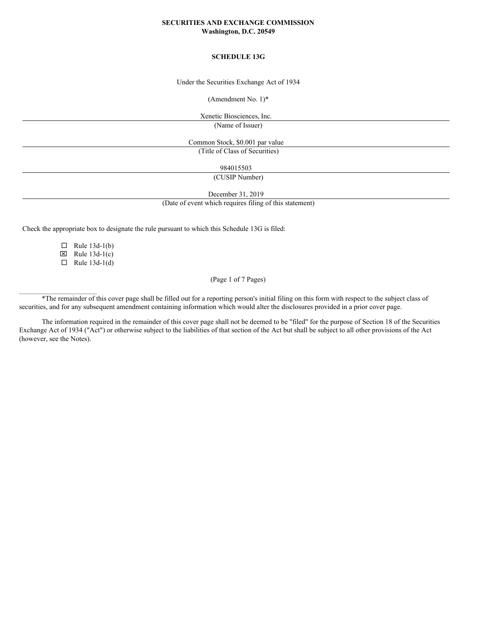## **SECURITIES AND EXCHANGE COMMISSION Washington, D.C. 20549**

# **SCHEDULE 13G**

Under the Securities Exchange Act of 1934

(Amendment No. 1)\*

Xenetic Biosciences, Inc. (Name of Issuer)

Common Stock, \$0.001 par value (Title of Class of Securities)

984015503

(CUSIP Number)

December 31, 2019

(Date of event which requires filing of this statement)

Check the appropriate box to designate the rule pursuant to which this Schedule 13G is filed:

 $\Box$  Rule 13d-1(b)  $\boxtimes$  Rule 13d-1(c)

 $\Box$  Rule 13d-1(d)

 $\mathcal{L}_\text{max}$ 

(Page 1 of 7 Pages)

\*The remainder of this cover page shall be filled out for a reporting person's initial filing on this form with respect to the subject class of securities, and for any subsequent amendment containing information which would alter the disclosures provided in a prior cover page.

The information required in the remainder of this cover page shall not be deemed to be "filed" for the purpose of Section 18 of the Securities Exchange Act of 1934 ("Act") or otherwise subject to the liabilities of that section of the Act but shall be subject to all other provisions of the Act (however, see the Notes).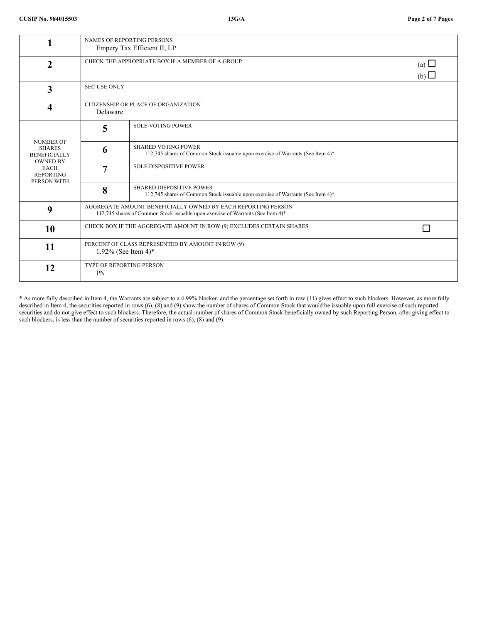|                                                                                                                               | <b>NAMES OF REPORTING PERSONS</b><br>Empery Tax Efficient II, LP                                                                                |                                                                                                                    |  |  |  |
|-------------------------------------------------------------------------------------------------------------------------------|-------------------------------------------------------------------------------------------------------------------------------------------------|--------------------------------------------------------------------------------------------------------------------|--|--|--|
| $\mathbf{2}$                                                                                                                  | CHECK THE APPROPRIATE BOX IF A MEMBER OF A GROUP                                                                                                | (a) $\Box$<br>(b)                                                                                                  |  |  |  |
| 3                                                                                                                             |                                                                                                                                                 | <b>SEC USE ONLY</b>                                                                                                |  |  |  |
| 4                                                                                                                             | CITIZENSHIP OR PLACE OF ORGANIZATION<br>Delaware                                                                                                |                                                                                                                    |  |  |  |
| <b>NUMBER OF</b><br><b>SHARES</b><br><b>BENEFICIALLY</b><br><b>OWNED BY</b><br><b>EACH</b><br><b>REPORTING</b><br>PERSON WITH | 5                                                                                                                                               | <b>SOLE VOTING POWER</b>                                                                                           |  |  |  |
|                                                                                                                               | 6                                                                                                                                               | <b>SHARED VOTING POWER</b><br>112,745 shares of Common Stock issuable upon exercise of Warrants (See Item 4)*      |  |  |  |
|                                                                                                                               | 7                                                                                                                                               | <b>SOLE DISPOSITIVE POWER</b>                                                                                      |  |  |  |
|                                                                                                                               | 8                                                                                                                                               | <b>SHARED DISPOSITIVE POWER</b><br>112,745 shares of Common Stock issuable upon exercise of Warrants (See Item 4)* |  |  |  |
| 9                                                                                                                             | AGGREGATE AMOUNT BENEFICIALLY OWNED BY EACH REPORTING PERSON<br>112,745 shares of Common Stock issuable upon exercise of Warrants (See Item 4)* |                                                                                                                    |  |  |  |
| 10                                                                                                                            | CHECK BOX IF THE AGGREGATE AMOUNT IN ROW (9) EXCLUDES CERTAIN SHARES<br>ΙI                                                                      |                                                                                                                    |  |  |  |
| 11                                                                                                                            | PERCENT OF CLASS REPRESENTED BY AMOUNT IN ROW (9)<br>1.92% (See Item 4)*                                                                        |                                                                                                                    |  |  |  |
| 12                                                                                                                            | <b>TYPE OF REPORTING PERSON</b><br>PN                                                                                                           |                                                                                                                    |  |  |  |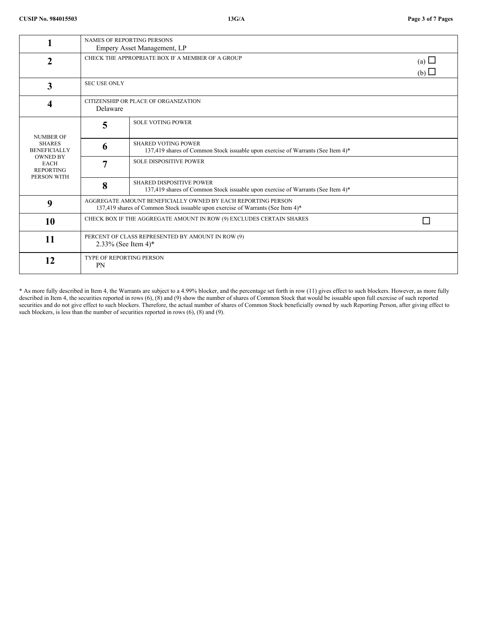|                                                                                                                               | <b>NAMES OF REPORTING PERSONS</b><br>Empery Asset Management, LP                                                                                |                                                                                                                    |  |  |  |
|-------------------------------------------------------------------------------------------------------------------------------|-------------------------------------------------------------------------------------------------------------------------------------------------|--------------------------------------------------------------------------------------------------------------------|--|--|--|
| 2                                                                                                                             | CHECK THE APPROPRIATE BOX IF A MEMBER OF A GROUP                                                                                                | (a) $\Box$<br>(b)                                                                                                  |  |  |  |
| 3                                                                                                                             | <b>SEC USE ONLY</b>                                                                                                                             |                                                                                                                    |  |  |  |
| 4                                                                                                                             | CITIZENSHIP OR PLACE OF ORGANIZATION<br>Delaware                                                                                                |                                                                                                                    |  |  |  |
| <b>NUMBER OF</b><br><b>SHARES</b><br><b>BENEFICIALLY</b><br><b>OWNED BY</b><br><b>EACH</b><br><b>REPORTING</b><br>PERSON WITH | 5                                                                                                                                               | <b>SOLE VOTING POWER</b>                                                                                           |  |  |  |
|                                                                                                                               | 6                                                                                                                                               | <b>SHARED VOTING POWER</b><br>137,419 shares of Common Stock issuable upon exercise of Warrants (See Item 4)*      |  |  |  |
|                                                                                                                               | 7                                                                                                                                               | <b>SOLE DISPOSITIVE POWER</b>                                                                                      |  |  |  |
|                                                                                                                               | 8                                                                                                                                               | <b>SHARED DISPOSITIVE POWER</b><br>137,419 shares of Common Stock issuable upon exercise of Warrants (See Item 4)* |  |  |  |
| 9                                                                                                                             | AGGREGATE AMOUNT BENEFICIALLY OWNED BY EACH REPORTING PERSON<br>137,419 shares of Common Stock issuable upon exercise of Warrants (See Item 4)* |                                                                                                                    |  |  |  |
| 10                                                                                                                            | CHECK BOX IF THE AGGREGATE AMOUNT IN ROW (9) EXCLUDES CERTAIN SHARES                                                                            |                                                                                                                    |  |  |  |
| 11                                                                                                                            | PERCENT OF CLASS REPRESENTED BY AMOUNT IN ROW (9)<br>2.33% (See Item 4)*                                                                        |                                                                                                                    |  |  |  |
| 12                                                                                                                            | <b>TYPE OF REPORTING PERSON</b><br>PN                                                                                                           |                                                                                                                    |  |  |  |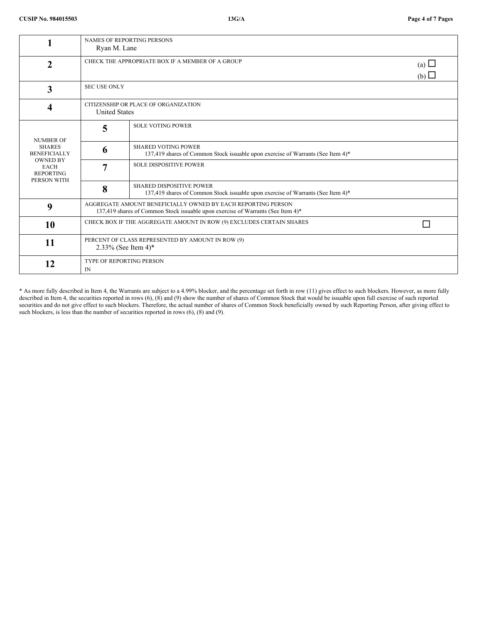|                                                                                                                               | <b>NAMES OF REPORTING PERSONS</b><br>Ryan M. Lane                                                                                               |                                                                                                                    |  |  |  |
|-------------------------------------------------------------------------------------------------------------------------------|-------------------------------------------------------------------------------------------------------------------------------------------------|--------------------------------------------------------------------------------------------------------------------|--|--|--|
| $\mathbf 2$                                                                                                                   | CHECK THE APPROPRIATE BOX IF A MEMBER OF A GROUP                                                                                                | (a) $\Box$<br>(b)                                                                                                  |  |  |  |
| 3                                                                                                                             | <b>SEC USE ONLY</b>                                                                                                                             |                                                                                                                    |  |  |  |
| 4                                                                                                                             | CITIZENSHIP OR PLACE OF ORGANIZATION<br><b>United States</b>                                                                                    |                                                                                                                    |  |  |  |
| <b>NUMBER OF</b><br><b>SHARES</b><br><b>BENEFICIALLY</b><br><b>OWNED BY</b><br><b>EACH</b><br><b>REPORTING</b><br>PERSON WITH | 5                                                                                                                                               | <b>SOLE VOTING POWER</b>                                                                                           |  |  |  |
|                                                                                                                               | 6                                                                                                                                               | <b>SHARED VOTING POWER</b><br>137,419 shares of Common Stock issuable upon exercise of Warrants (See Item 4)*      |  |  |  |
|                                                                                                                               | 7                                                                                                                                               | <b>SOLE DISPOSITIVE POWER</b>                                                                                      |  |  |  |
|                                                                                                                               | 8                                                                                                                                               | <b>SHARED DISPOSITIVE POWER</b><br>137,419 shares of Common Stock issuable upon exercise of Warrants (See Item 4)* |  |  |  |
| 9                                                                                                                             | AGGREGATE AMOUNT BENEFICIALLY OWNED BY EACH REPORTING PERSON<br>137,419 shares of Common Stock issuable upon exercise of Warrants (See Item 4)* |                                                                                                                    |  |  |  |
| 10                                                                                                                            | CHECK BOX IF THE AGGREGATE AMOUNT IN ROW (9) EXCLUDES CERTAIN SHARES                                                                            |                                                                                                                    |  |  |  |
| 11                                                                                                                            | PERCENT OF CLASS REPRESENTED BY AMOUNT IN ROW (9)<br>2.33% (See Item 4)*                                                                        |                                                                                                                    |  |  |  |
| 12                                                                                                                            | <b>TYPE OF REPORTING PERSON</b><br>IN                                                                                                           |                                                                                                                    |  |  |  |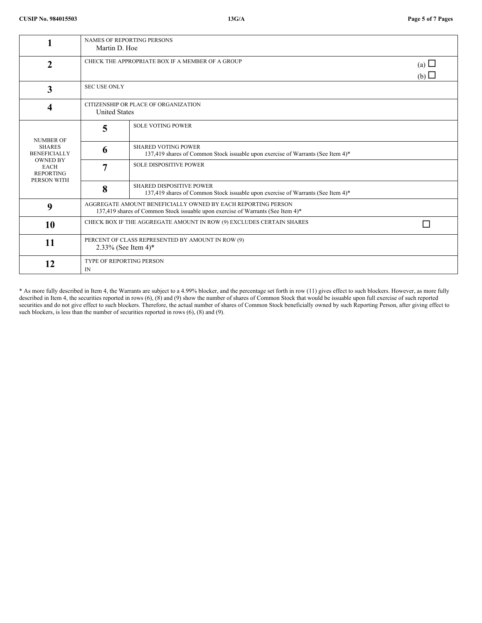|                                                                   | <b>NAMES OF REPORTING PERSONS</b><br>Martin D. Hoe                                                                                              |                                                                                                                    |  |  |  |
|-------------------------------------------------------------------|-------------------------------------------------------------------------------------------------------------------------------------------------|--------------------------------------------------------------------------------------------------------------------|--|--|--|
| $\overline{2}$                                                    | CHECK THE APPROPRIATE BOX IF A MEMBER OF A GROUP                                                                                                | (a) $\Box$<br>(b)                                                                                                  |  |  |  |
| 3                                                                 | <b>SEC USE ONLY</b>                                                                                                                             |                                                                                                                    |  |  |  |
| 4                                                                 | CITIZENSHIP OR PLACE OF ORGANIZATION<br><b>United States</b>                                                                                    |                                                                                                                    |  |  |  |
| <b>NUMBER OF</b>                                                  | 5                                                                                                                                               | <b>SOLE VOTING POWER</b>                                                                                           |  |  |  |
| <b>SHARES</b><br><b>BENEFICIALLY</b>                              | 6                                                                                                                                               | <b>SHARED VOTING POWER</b><br>137,419 shares of Common Stock issuable upon exercise of Warrants (See Item 4)*      |  |  |  |
| <b>OWNED BY</b><br><b>EACH</b><br><b>REPORTING</b><br>PERSON WITH | 7                                                                                                                                               | <b>SOLE DISPOSITIVE POWER</b>                                                                                      |  |  |  |
|                                                                   | 8                                                                                                                                               | <b>SHARED DISPOSITIVE POWER</b><br>137,419 shares of Common Stock issuable upon exercise of Warrants (See Item 4)* |  |  |  |
| 9                                                                 | AGGREGATE AMOUNT BENEFICIALLY OWNED BY EACH REPORTING PERSON<br>137,419 shares of Common Stock issuable upon exercise of Warrants (See Item 4)* |                                                                                                                    |  |  |  |
| 10                                                                | CHECK BOX IF THE AGGREGATE AMOUNT IN ROW (9) EXCLUDES CERTAIN SHARES                                                                            |                                                                                                                    |  |  |  |
| <b>11</b>                                                         | PERCENT OF CLASS REPRESENTED BY AMOUNT IN ROW (9)<br>2.33% (See Item 4)*                                                                        |                                                                                                                    |  |  |  |
| 12                                                                | <b>TYPE OF REPORTING PERSON</b><br>IN                                                                                                           |                                                                                                                    |  |  |  |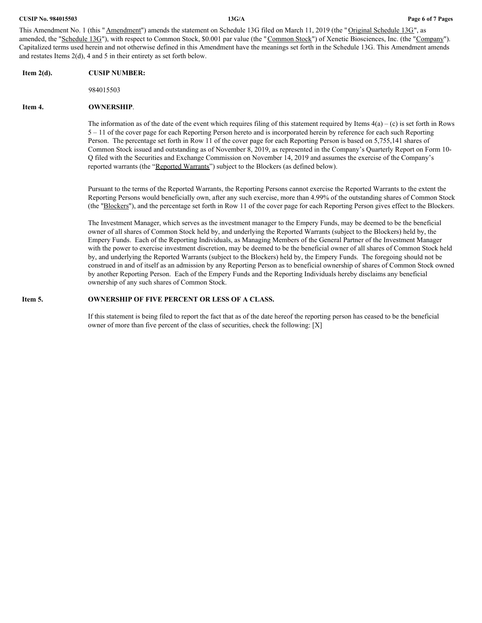This Amendment No. 1 (this "Amendment") amends the statement on Schedule 13G filed on March 11, 2019 (the "Original Schedule 13G", as amended, the "Schedule 13G"), with respect to Common Stock, \$0.001 par value (the "Common Stock") of Xenetic Biosciences, Inc. (the "Company"). Capitalized terms used herein and not otherwise defined in this Amendment have the meanings set forth in the Schedule 13G. This Amendment amends and restates Items 2(d), 4 and 5 in their entirety as set forth below.

## **Item 2(d). CUSIP NUMBER:**

984015503

#### **Item 4. OWNERSHIP**.

The information as of the date of the event which requires filing of this statement required by Items  $4(a) - (c)$  is set forth in Rows 5 – 11 of the cover page for each Reporting Person hereto and is incorporated herein by reference for each such Reporting Person. The percentage set forth in Row 11 of the cover page for each Reporting Person is based on 5,755,141 shares of Common Stock issued and outstanding as of November 8, 2019, as represented in the Company's Quarterly Report on Form 10- Q filed with the Securities and Exchange Commission on November 14, 2019 and assumes the exercise of the Company's reported warrants (the "Reported Warrants") subject to the Blockers (as defined below).

Pursuant to the terms of the Reported Warrants, the Reporting Persons cannot exercise the Reported Warrants to the extent the Reporting Persons would beneficially own, after any such exercise, more than 4.99% of the outstanding shares of Common Stock (the "Blockers"), and the percentage set forth in Row 11 of the cover page for each Reporting Person gives effect to the Blockers.

The Investment Manager, which serves as the investment manager to the Empery Funds, may be deemed to be the beneficial owner of all shares of Common Stock held by, and underlying the Reported Warrants (subject to the Blockers) held by, the Empery Funds. Each of the Reporting Individuals, as Managing Members of the General Partner of the Investment Manager with the power to exercise investment discretion, may be deemed to be the beneficial owner of all shares of Common Stock held by, and underlying the Reported Warrants (subject to the Blockers) held by, the Empery Funds. The foregoing should not be construed in and of itself as an admission by any Reporting Person as to beneficial ownership of shares of Common Stock owned by another Reporting Person. Each of the Empery Funds and the Reporting Individuals hereby disclaims any beneficial ownership of any such shares of Common Stock.

## **Item 5. OWNERSHIP OF FIVE PERCENT OR LESS OF A CLASS.**

If this statement is being filed to report the fact that as of the date hereof the reporting person has ceased to be the beneficial owner of more than five percent of the class of securities, check the following: [X]